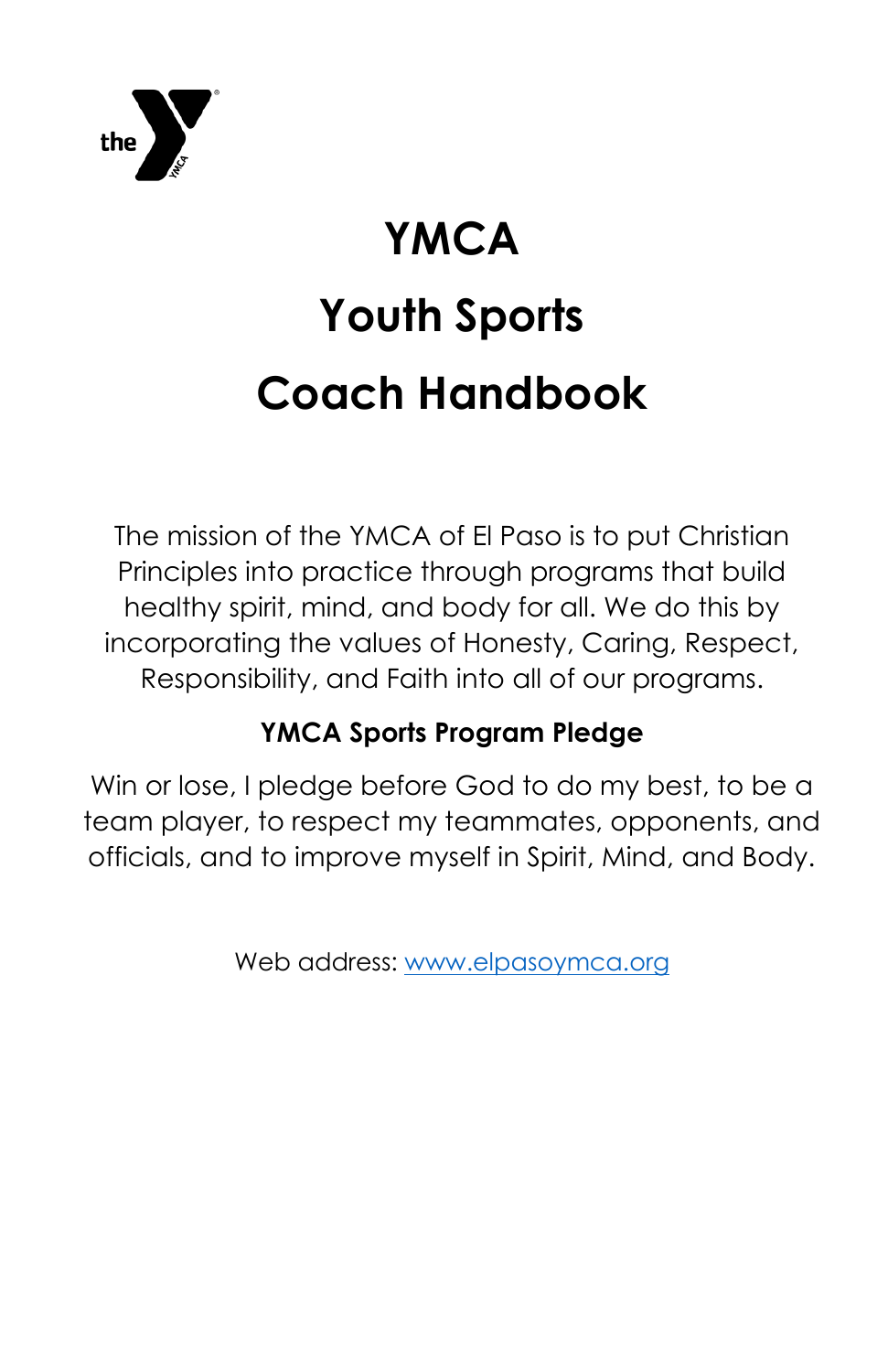

# **YMCA Youth Sports Coach Handbook**

The mission of the YMCA of El Paso is to put Christian Principles into practice through programs that build healthy spirit, mind, and body for all. We do this by incorporating the values of Honesty, Caring, Respect, Responsibility, and Faith into all of our programs.

# **YMCA Sports Program Pledge**

Win or lose, I pledge before God to do my best, to be a team player, to respect my teammates, opponents, and officials, and to improve myself in Spirit, Mind, and Body.

Web address: [www.elpasoymca.org](http://www.elpasoymca.org/)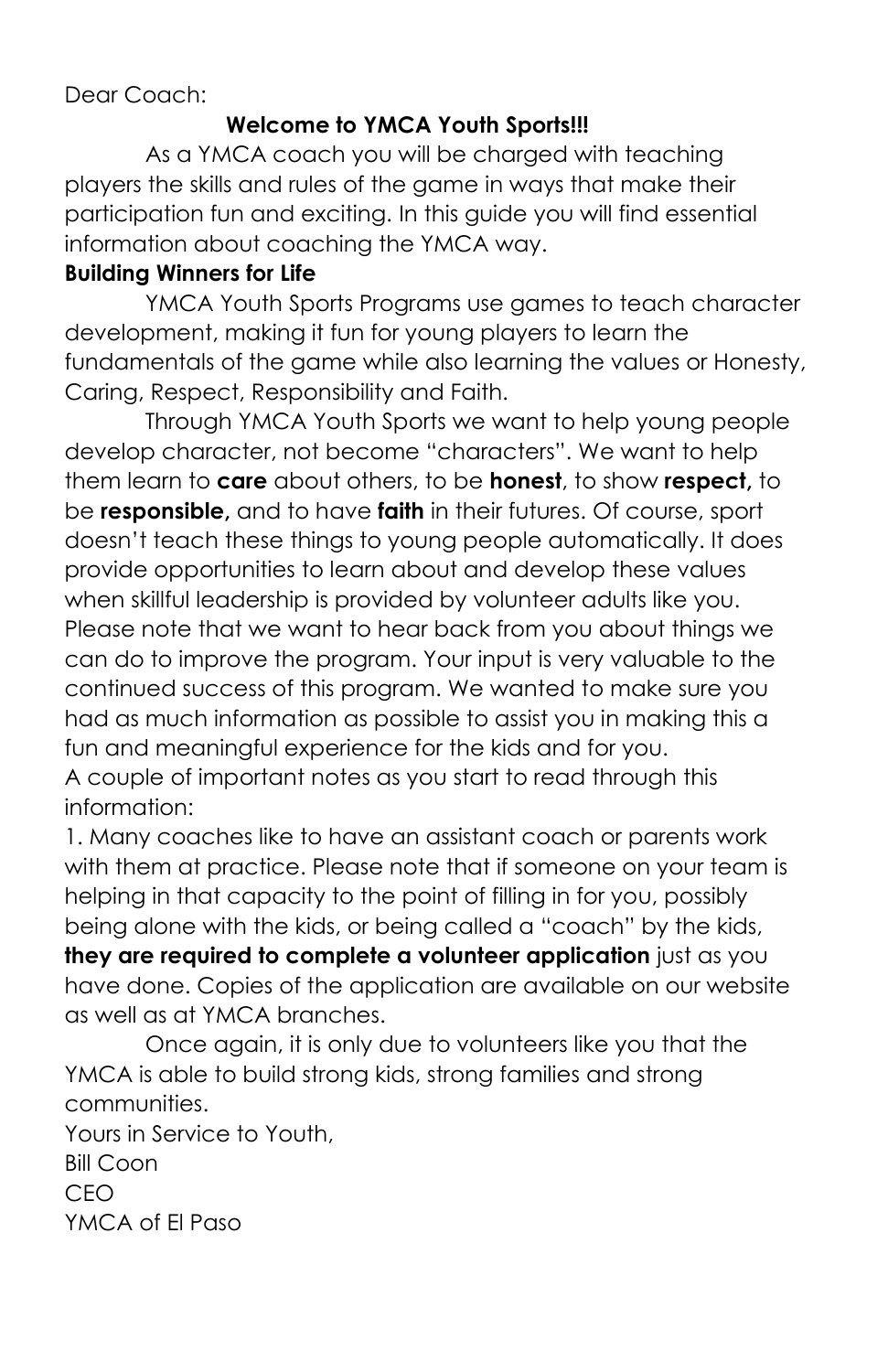#### Dear Coach:

#### **Welcome to YMCA Youth Sports!!!**

As a YMCA coach you will be charged with teaching players the skills and rules of the game in ways that make their participation fun and exciting. In this guide you will find essential information about coaching the YMCA way.

#### **Building Winners for Life**

YMCA Youth Sports Programs use games to teach character development, making it fun for young players to learn the fundamentals of the game while also learning the values or Honesty, Caring, Respect, Responsibility and Faith.

Through YMCA Youth Sports we want to help young people develop character, not become "characters". We want to help them learn to **care** about others, to be **honest**, to show **respect,** to be **responsible,** and to have **faith** in their futures. Of course, sport doesn't teach these things to young people automatically. It does provide opportunities to learn about and develop these values when skillful leadership is provided by volunteer adults like you. Please note that we want to hear back from you about things we can do to improve the program. Your input is very valuable to the continued success of this program. We wanted to make sure you had as much information as possible to assist you in making this a fun and meaningful experience for the kids and for you.

A couple of important notes as you start to read through this information:

1. Many coaches like to have an assistant coach or parents work with them at practice. Please note that if someone on your team is helping in that capacity to the point of filling in for you, possibly being alone with the kids, or being called a "coach" by the kids, **they are required to complete a volunteer application** just as you have done. Copies of the application are available on our website

as well as at YMCA branches.

Once again, it is only due to volunteers like you that the YMCA is able to build strong kids, strong families and strong communities.

Yours in Service to Youth, Bill Coon CEO YMCA of El Paso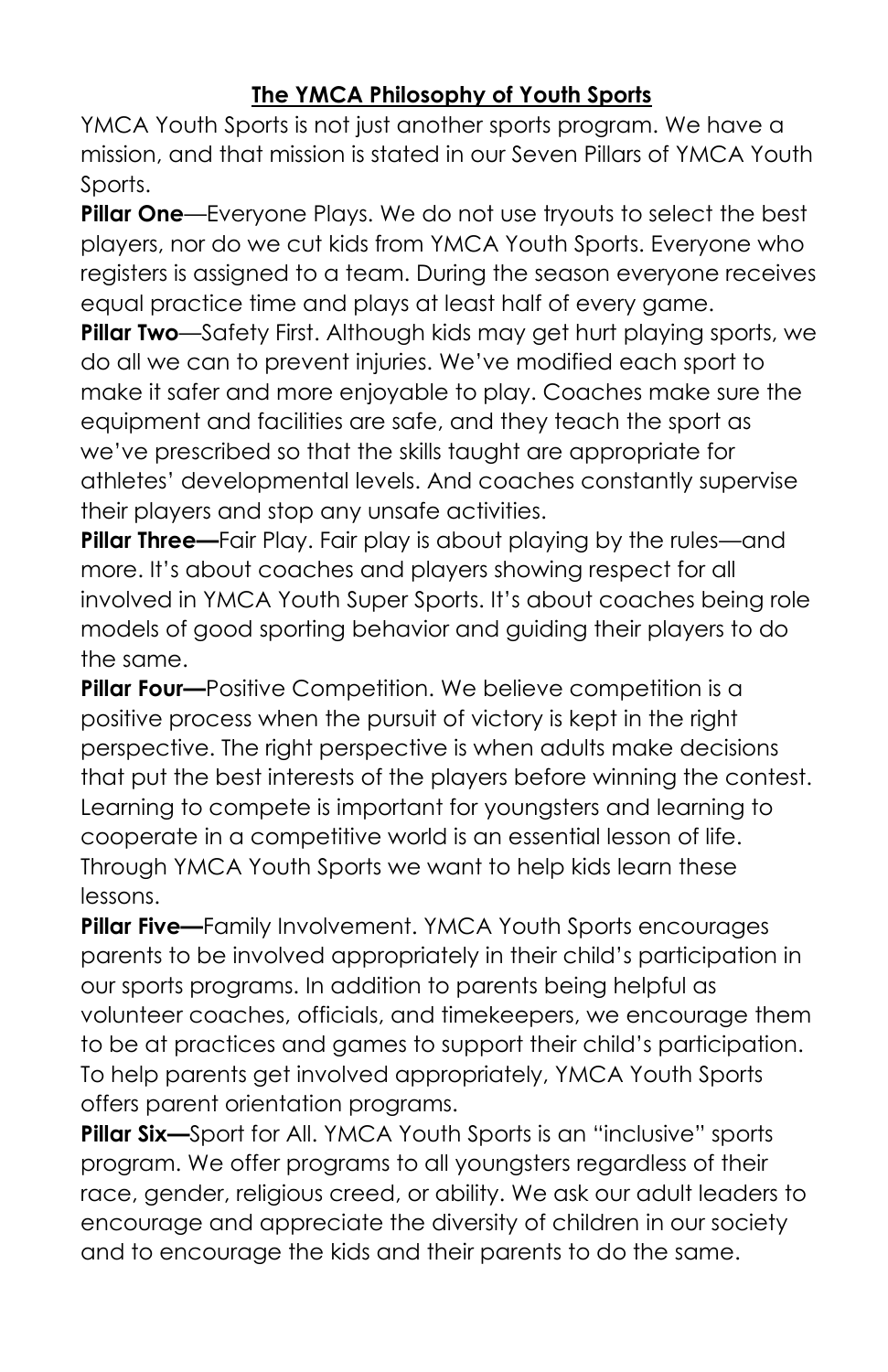# **The YMCA Philosophy of Youth Sports**

YMCA Youth Sports is not just another sports program. We have a mission, and that mission is stated in our Seven Pillars of YMCA Youth Sports.

**Pillar One**—Everyone Plays. We do not use tryouts to select the best players, nor do we cut kids from YMCA Youth Sports. Everyone who registers is assigned to a team. During the season everyone receives equal practice time and plays at least half of every game.

**Pillar Two**—Safety First. Although kids may get hurt playing sports, we do all we can to prevent injuries. We've modified each sport to make it safer and more enjoyable to play. Coaches make sure the equipment and facilities are safe, and they teach the sport as we've prescribed so that the skills taught are appropriate for athletes' developmental levels. And coaches constantly supervise their players and stop any unsafe activities.

**Pillar Three—**Fair Play. Fair play is about playing by the rules—and more. It's about coaches and players showing respect for all involved in YMCA Youth Super Sports. It's about coaches being role models of good sporting behavior and guiding their players to do the same.

**Pillar Four—**Positive Competition. We believe competition is a positive process when the pursuit of victory is kept in the right perspective. The right perspective is when adults make decisions that put the best interests of the players before winning the contest. Learning to compete is important for youngsters and learning to cooperate in a competitive world is an essential lesson of life. Through YMCA Youth Sports we want to help kids learn these lessons.

**Pillar Five—**Family Involvement. YMCA Youth Sports encourages parents to be involved appropriately in their child's participation in our sports programs. In addition to parents being helpful as volunteer coaches, officials, and timekeepers, we encourage them to be at practices and games to support their child's participation. To help parents get involved appropriately, YMCA Youth Sports offers parent orientation programs.

**Pillar Six—**Sport for All. YMCA Youth Sports is an "inclusive" sports program. We offer programs to all youngsters regardless of their race, gender, religious creed, or ability. We ask our adult leaders to encourage and appreciate the diversity of children in our society and to encourage the kids and their parents to do the same.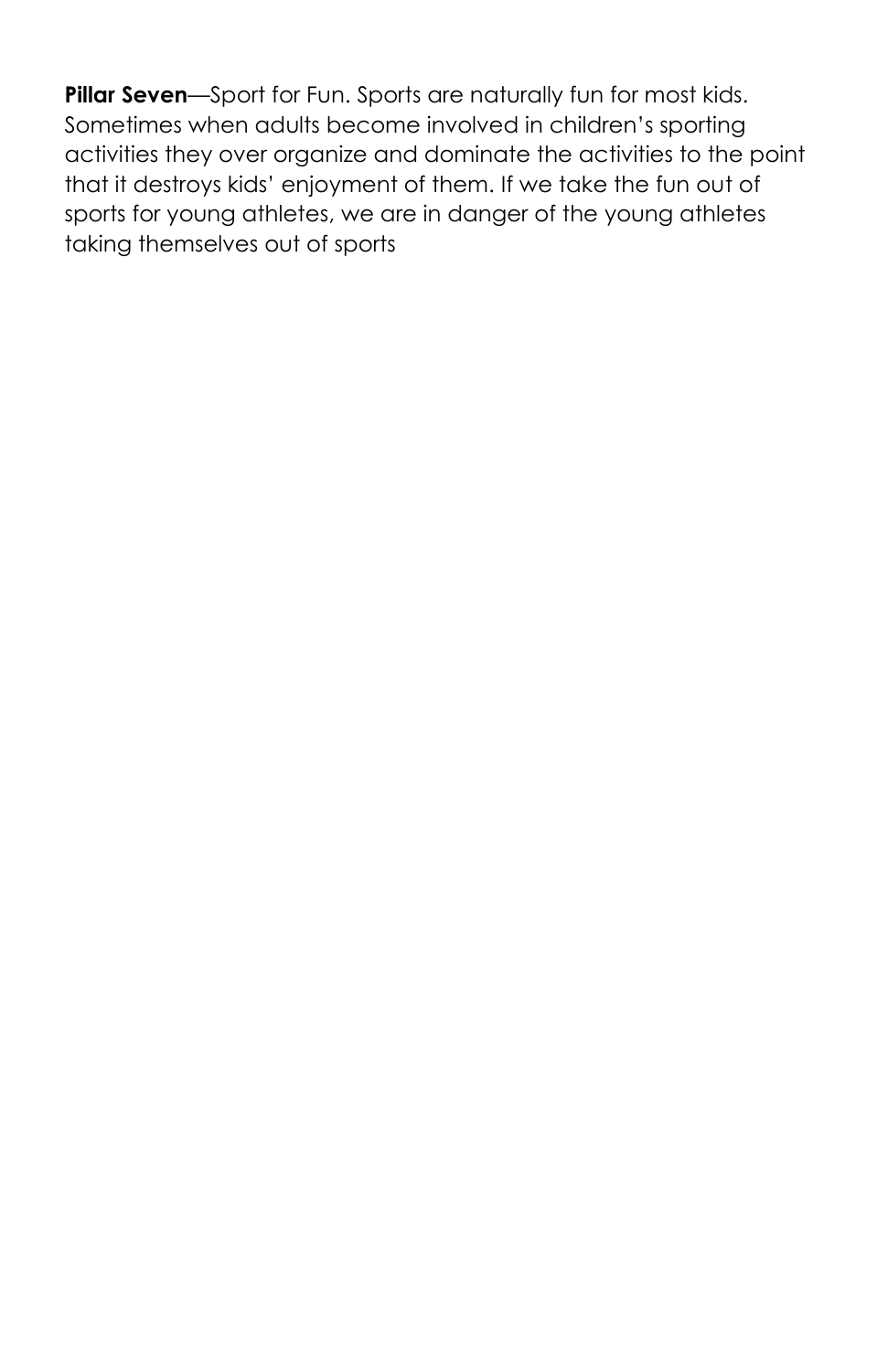**Pillar Seven**—Sport for Fun. Sports are naturally fun for most kids. Sometimes when adults become involved in children's sporting activities they over organize and dominate the activities to the point that it destroys kids' enjoyment of them. If we take the fun out of sports for young athletes, we are in danger of the young athletes taking themselves out of sports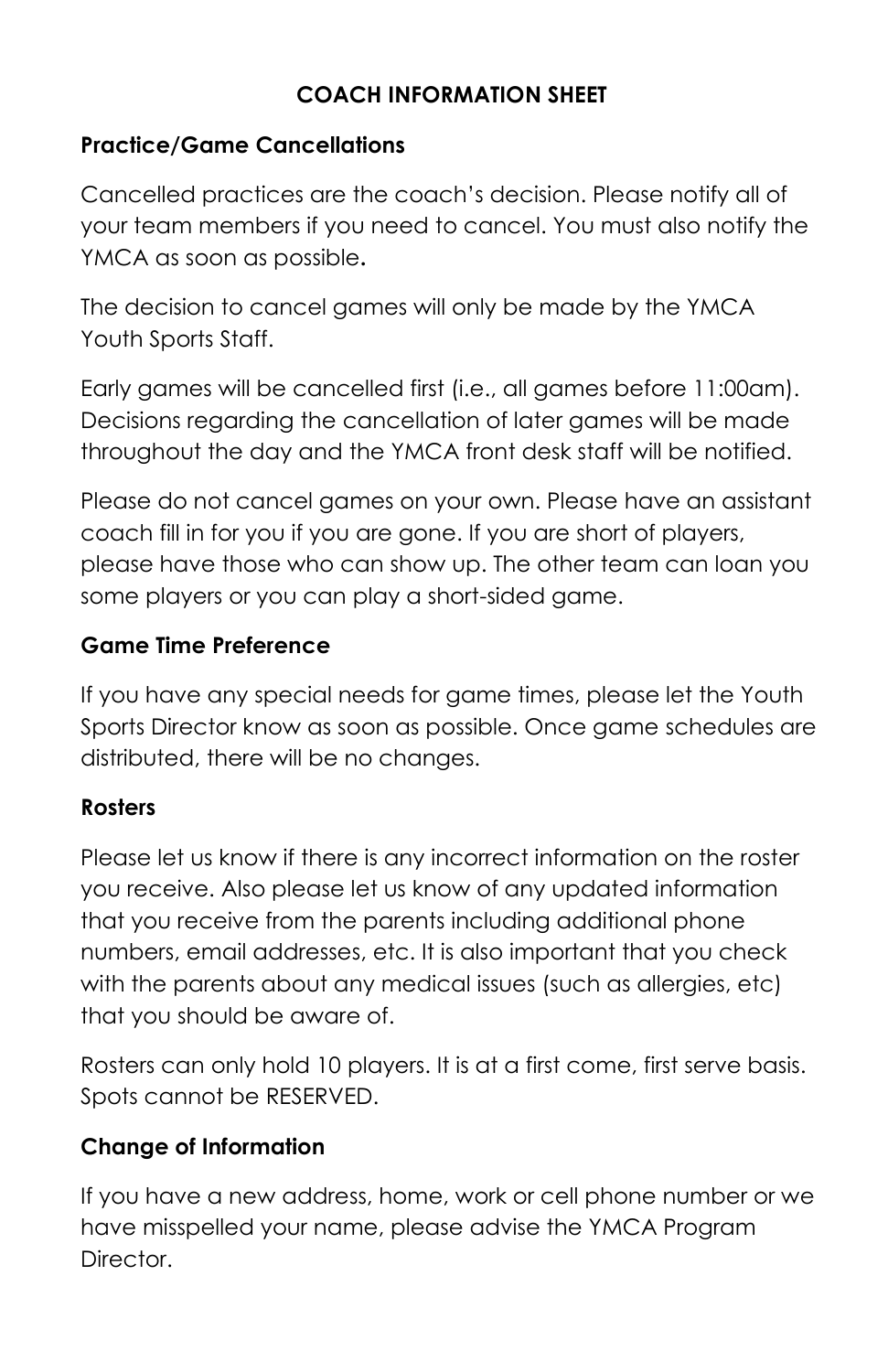# **COACH INFORMATION SHEET**

#### **Practice/Game Cancellations**

Cancelled practices are the coach's decision. Please notify all of your team members if you need to cancel. You must also notify the YMCA as soon as possible**.**

The decision to cancel games will only be made by the YMCA Youth Sports Staff.

Early games will be cancelled first (i.e., all games before 11:00am). Decisions regarding the cancellation of later games will be made throughout the day and the YMCA front desk staff will be notified.

Please do not cancel games on your own. Please have an assistant coach fill in for you if you are gone. If you are short of players, please have those who can show up. The other team can loan you some players or you can play a short-sided game.

#### **Game Time Preference**

If you have any special needs for game times, please let the Youth Sports Director know as soon as possible. Once game schedules are distributed, there will be no changes.

#### **Rosters**

Please let us know if there is any incorrect information on the roster you receive. Also please let us know of any updated information that you receive from the parents including additional phone numbers, email addresses, etc. It is also important that you check with the parents about any medical issues (such as allergies, etc) that you should be aware of.

Rosters can only hold 10 players. It is at a first come, first serve basis. Spots cannot be RESERVED.

#### **Change of Information**

If you have a new address, home, work or cell phone number or we have misspelled your name, please advise the YMCA Program Director.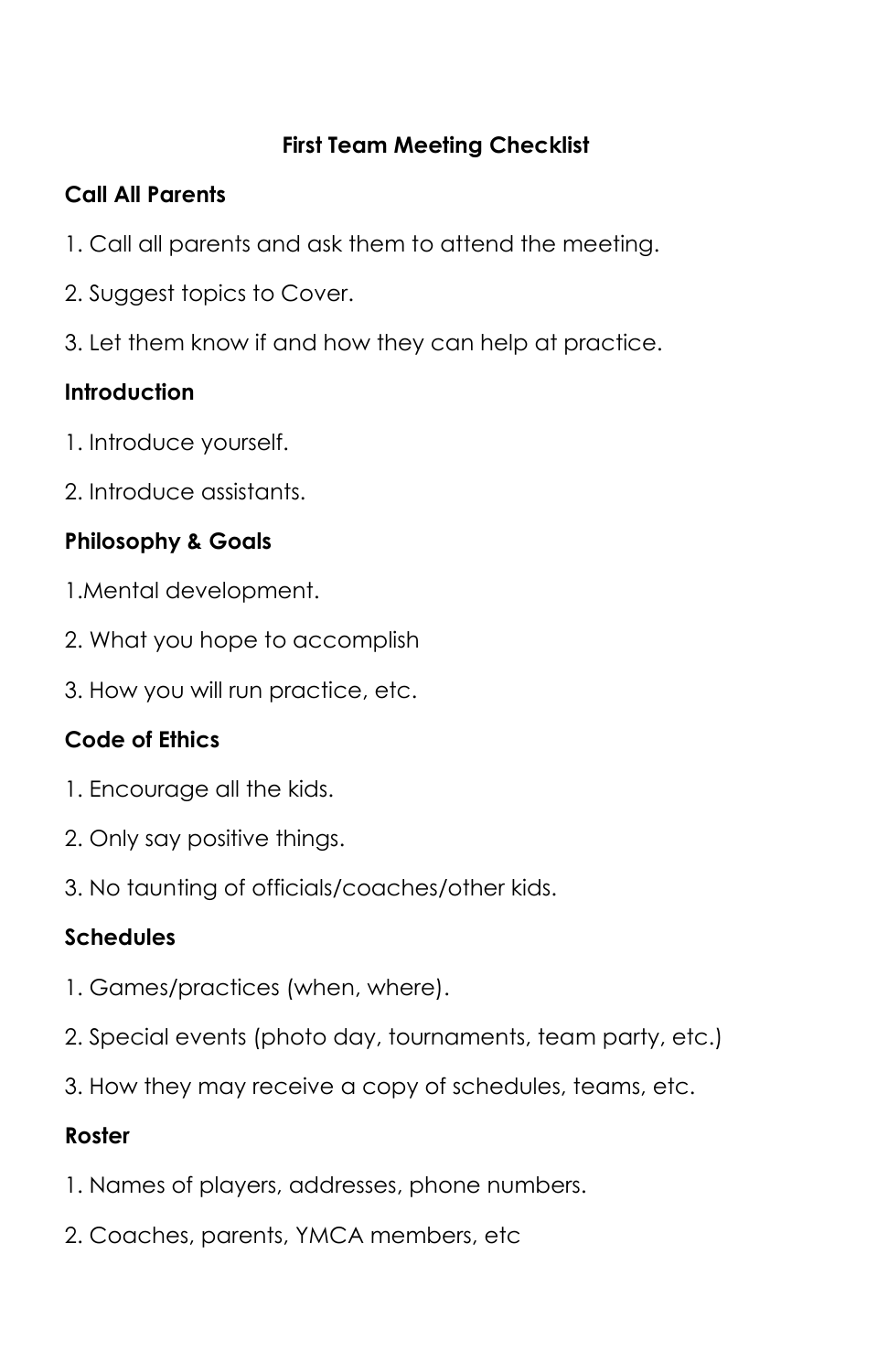#### **First Team Meeting Checklist**

#### **Call All Parents**

- 1. Call all parents and ask them to attend the meeting.
- 2. Suggest topics to Cover.
- 3. Let them know if and how they can help at practice.

# **Introduction**

- 1. Introduce yourself.
- 2. Introduce assistants.

# **Philosophy & Goals**

- 1.Mental development.
- 2. What you hope to accomplish
- 3. How you will run practice, etc.

# **Code of Ethics**

- 1. Encourage all the kids.
- 2. Only say positive things.
- 3. No taunting of officials/coaches/other kids.

# **Schedules**

- 1. Games/practices (when, where).
- 2. Special events (photo day, tournaments, team party, etc.)
- 3. How they may receive a copy of schedules, teams, etc.

# **Roster**

- 1. Names of players, addresses, phone numbers.
- 2. Coaches, parents, YMCA members, etc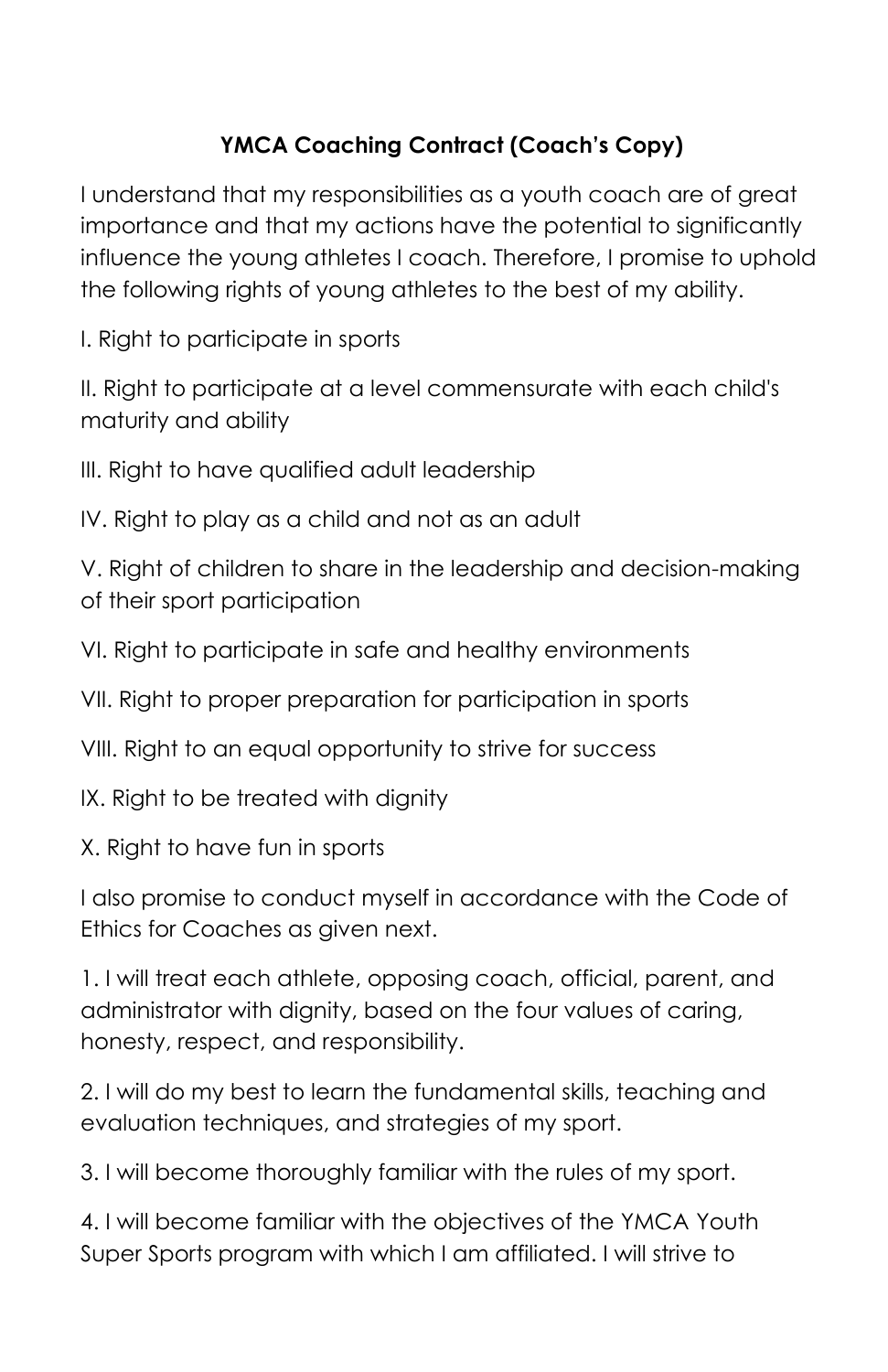# **YMCA Coaching Contract (Coach's Copy)**

I understand that my responsibilities as a youth coach are of great importance and that my actions have the potential to significantly influence the young athletes I coach. Therefore, I promise to uphold the following rights of young athletes to the best of my ability.

I. Right to participate in sports

II. Right to participate at a level commensurate with each child's maturity and ability

III. Right to have qualified adult leadership

IV. Right to play as a child and not as an adult

V. Right of children to share in the leadership and decision-making of their sport participation

VI. Right to participate in safe and healthy environments

VII. Right to proper preparation for participation in sports

VIII. Right to an equal opportunity to strive for success

IX. Right to be treated with dignity

X. Right to have fun in sports

I also promise to conduct myself in accordance with the Code of Ethics for Coaches as given next.

1. I will treat each athlete, opposing coach, official, parent, and administrator with dignity, based on the four values of caring, honesty, respect, and responsibility.

2. I will do my best to learn the fundamental skills, teaching and evaluation techniques, and strategies of my sport.

3. I will become thoroughly familiar with the rules of my sport.

4. I will become familiar with the objectives of the YMCA Youth Super Sports program with which I am affiliated. I will strive to